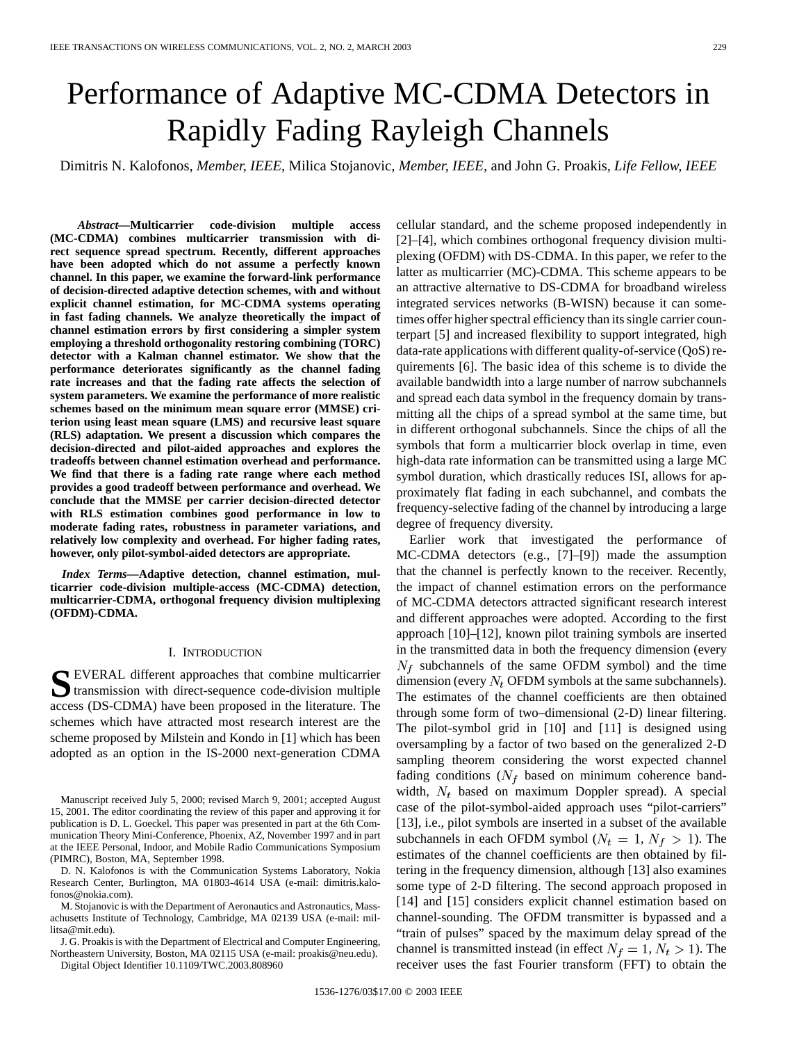# Performance of Adaptive MC-CDMA Detectors in Rapidly Fading Rayleigh Channels

Dimitris N. Kalofonos*, Member, IEEE*, Milica Stojanovic*, Member, IEEE*, and John G. Proakis*, Life Fellow, IEEE*

*Abstract—***Multicarrier code-division multiple access (MC-CDMA) combines multicarrier transmission with direct sequence spread spectrum. Recently, different approaches have been adopted which do not assume a perfectly known channel. In this paper, we examine the forward-link performance of decision-directed adaptive detection schemes, with and without explicit channel estimation, for MC-CDMA systems operating in fast fading channels. We analyze theoretically the impact of channel estimation errors by first considering a simpler system employing a threshold orthogonality restoring combining (TORC) detector with a Kalman channel estimator. We show that the performance deteriorates significantly as the channel fading rate increases and that the fading rate affects the selection of system parameters. We examine the performance of more realistic schemes based on the minimum mean square error (MMSE) criterion using least mean square (LMS) and recursive least square (RLS) adaptation. We present a discussion which compares the decision-directed and pilot-aided approaches and explores the tradeoffs between channel estimation overhead and performance. We find that there is a fading rate range where each method provides a good tradeoff between performance and overhead. We conclude that the MMSE per carrier decision-directed detector with RLS estimation combines good performance in low to moderate fading rates, robustness in parameter variations, and relatively low complexity and overhead. For higher fading rates, however, only pilot-symbol-aided detectors are appropriate.**

*Index Terms—***Adaptive detection, channel estimation, multicarrier code-division multiple-access (MC-CDMA) detection, multicarrier-CDMA, orthogonal frequency division multiplexing (OFDM)-CDMA.**

#### I. INTRODUCTION

**S**EVERAL different approaches that combine multicarrier transmission with direct-sequence code-division multiple access (DS-CDMA) have been proposed in the literature. The schemes which have attracted most research interest are the scheme proposed by Milstein and Kondo in [1] which has been adopted as an option in the IS-2000 next-generation CDMA

D. N. Kalofonos is with the Communication Systems Laboratory, Nokia Research Center, Burlington, MA 01803-4614 USA (e-mail: dimitris.kalofonos@nokia.com).

M. Stojanovic is with the Department of Aeronautics and Astronautics, Massachusetts Institute of Technology, Cambridge, MA 02139 USA (e-mail: millitsa@mit.edu).

J. G. Proakis is with the Department of Electrical and Computer Engineering, Northeastern University, Boston, MA 02115 USA (e-mail: proakis@neu.edu).

Digital Object Identifier 10.1109/TWC.2003.808960

cellular standard, and the scheme proposed independently in [2]–[4], which combines orthogonal frequency division multiplexing (OFDM) with DS-CDMA. In this paper, we refer to the latter as multicarrier (MC)-CDMA. This scheme appears to be an attractive alternative to DS-CDMA for broadband wireless integrated services networks (B-WISN) because it can sometimes offer higher spectral efficiency than its single carrier counterpart [5] and increased flexibility to support integrated, high data-rate applications with different quality-of-service (QoS) requirements [6]. The basic idea of this scheme is to divide the available bandwidth into a large number of narrow subchannels and spread each data symbol in the frequency domain by transmitting all the chips of a spread symbol at the same time, but in different orthogonal subchannels. Since the chips of all the symbols that form a multicarrier block overlap in time, even high-data rate information can be transmitted using a large MC symbol duration, which drastically reduces ISI, allows for approximately flat fading in each subchannel, and combats the frequency-selective fading of the channel by introducing a large degree of frequency diversity.

Earlier work that investigated the performance of MC-CDMA detectors (e.g., [7]–[9]) made the assumption that the channel is perfectly known to the receiver. Recently, the impact of channel estimation errors on the performance of MC-CDMA detectors attracted significant research interest and different approaches were adopted. According to the first approach [10]–[12], known pilot training symbols are inserted in the transmitted data in both the frequency dimension (every  $N_f$  subchannels of the same OFDM symbol) and the time dimension (every  $N_t$  OFDM symbols at the same subchannels). The estimates of the channel coefficients are then obtained through some form of two–dimensional (2-D) linear filtering. The pilot-symbol grid in [10] and [11] is designed using oversampling by a factor of two based on the generalized 2-D sampling theorem considering the worst expected channel fading conditions ( $N_f$  based on minimum coherence bandwidth,  $N_t$  based on maximum Doppler spread). A special case of the pilot-symbol-aided approach uses "pilot-carriers" [13], i.e., pilot symbols are inserted in a subset of the available subchannels in each OFDM symbol ( $N_t = 1, N_f > 1$ ). The estimates of the channel coefficients are then obtained by filtering in the frequency dimension, although [13] also examines some type of 2-D filtering. The second approach proposed in [14] and [15] considers explicit channel estimation based on channel-sounding. The OFDM transmitter is bypassed and a "train of pulses" spaced by the maximum delay spread of the channel is transmitted instead (in effect  $N_f = 1, N_t > 1$ ). The receiver uses the fast Fourier transform (FFT) to obtain the

Manuscript received July 5, 2000; revised March 9, 2001; accepted August 15, 2001. The editor coordinating the review of this paper and approving it for publication is D. L. Goeckel. This paper was presented in part at the 6th Communication Theory Mini-Conference, Phoenix, AZ, November 1997 and in part at the IEEE Personal, Indoor, and Mobile Radio Communications Symposium (PIMRC), Boston, MA, September 1998.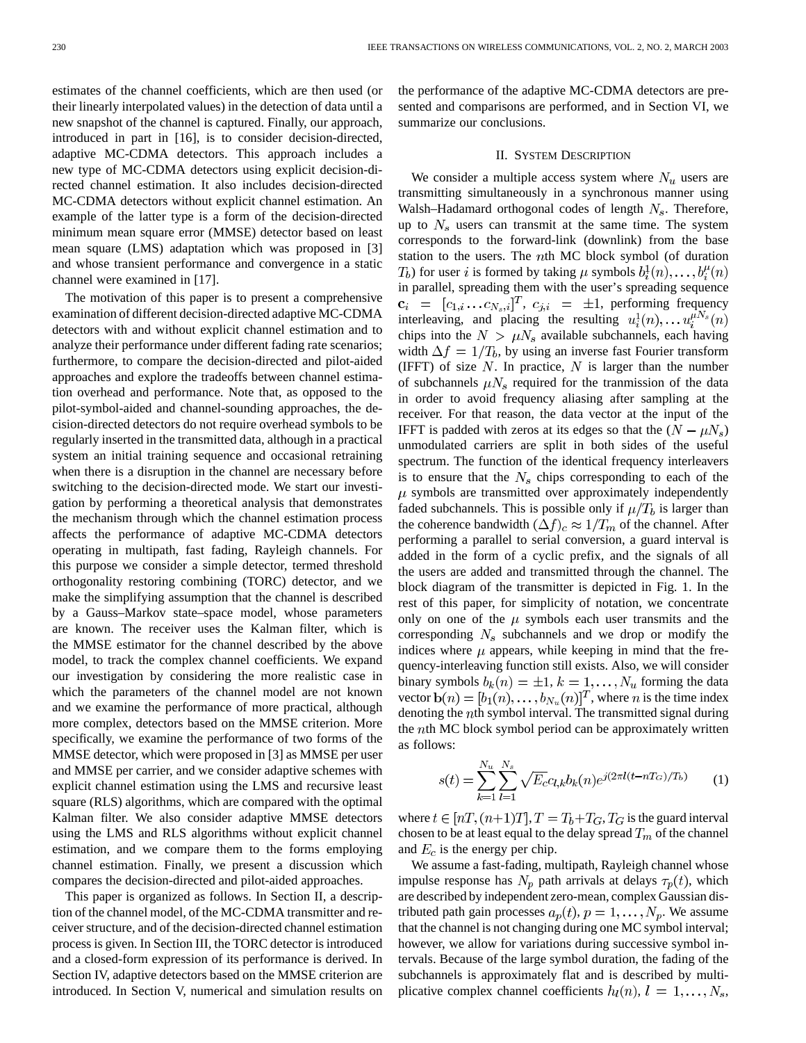estimates of the channel coefficients, which are then used (or their linearly interpolated values) in the detection of data until a new snapshot of the channel is captured. Finally, our approach, introduced in part in [16], is to consider decision-directed, adaptive MC-CDMA detectors. This approach includes a new type of MC-CDMA detectors using explicit decision-directed channel estimation. It also includes decision-directed MC-CDMA detectors without explicit channel estimation. An example of the latter type is a form of the decision-directed minimum mean square error (MMSE) detector based on least mean square (LMS) adaptation which was proposed in [3] and whose transient performance and convergence in a static channel were examined in [17].

The motivation of this paper is to present a comprehensive examination of different decision-directed adaptive MC-CDMA detectors with and without explicit channel estimation and to analyze their performance under different fading rate scenarios; furthermore, to compare the decision-directed and pilot-aided approaches and explore the tradeoffs between channel estimation overhead and performance. Note that, as opposed to the pilot-symbol-aided and channel-sounding approaches, the decision-directed detectors do not require overhead symbols to be regularly inserted in the transmitted data, although in a practical system an initial training sequence and occasional retraining when there is a disruption in the channel are necessary before switching to the decision-directed mode. We start our investigation by performing a theoretical analysis that demonstrates the mechanism through which the channel estimation process affects the performance of adaptive MC-CDMA detectors operating in multipath, fast fading, Rayleigh channels. For this purpose we consider a simple detector, termed threshold orthogonality restoring combining (TORC) detector, and we make the simplifying assumption that the channel is described by a Gauss–Markov state–space model, whose parameters are known. The receiver uses the Kalman filter, which is the MMSE estimator for the channel described by the above model, to track the complex channel coefficients. We expand our investigation by considering the more realistic case in which the parameters of the channel model are not known and we examine the performance of more practical, although more complex, detectors based on the MMSE criterion. More specifically, we examine the performance of two forms of the MMSE detector, which were proposed in [3] as MMSE per user and MMSE per carrier, and we consider adaptive schemes with explicit channel estimation using the LMS and recursive least square (RLS) algorithms, which are compared with the optimal Kalman filter. We also consider adaptive MMSE detectors using the LMS and RLS algorithms without explicit channel estimation, and we compare them to the forms employing channel estimation. Finally, we present a discussion which compares the decision-directed and pilot-aided approaches.

This paper is organized as follows. In Section II, a description of the channel model, of the MC-CDMA transmitter and receiver structure, and of the decision-directed channel estimation process is given. In Section III, the TORC detector is introduced and a closed-form expression of its performance is derived. In Section IV, adaptive detectors based on the MMSE criterion are introduced. In Section V, numerical and simulation results on the performance of the adaptive MC-CDMA detectors are presented and comparisons are performed, and in Section VI, we summarize our conclusions.

# II. SYSTEM DESCRIPTION

We consider a multiple access system where  $N_u$  users are transmitting simultaneously in a synchronous manner using Walsh–Hadamard orthogonal codes of length  $N_s$ . Therefore, up to  $N_s$  users can transmit at the same time. The system corresponds to the forward-link (downlink) from the base station to the users. The *th MC block symbol (of duration*  $(T_b)$  for user i is formed by taking  $\mu$  symbols  $b_i^1(n), \ldots, b_i^{\mu}(n)$ in parallel, spreading them with the user's spreading sequence  $\mathbf{c}_i = [c_{1,i} \dots c_{N_s,i}]^T$ ,  $c_{j,i} = \pm 1$ , performing frequency interleaving, and placing the resulting  $u_i^1(n), \ldots, u_i^{uN_s}(n)$ chips into the  $N > \mu N_s$  available subchannels, each having width  $\Delta f = 1/T_b$ , by using an inverse fast Fourier transform (IFFT) of size  $N$ . In practice,  $N$  is larger than the number of subchannels  $\mu N_s$  required for the tranmission of the data in order to avoid frequency aliasing after sampling at the receiver. For that reason, the data vector at the input of the IFFT is padded with zeros at its edges so that the  $(N - \mu N_s)$ unmodulated carriers are split in both sides of the useful spectrum. The function of the identical frequency interleavers is to ensure that the  $N_s$  chips corresponding to each of the  $\mu$  symbols are transmitted over approximately independently faded subchannels. This is possible only if  $\mu/T_b$  is larger than the coherence bandwidth  $(\Delta f)_c \approx 1/T_m$  of the channel. After performing a parallel to serial conversion, a guard interval is added in the form of a cyclic prefix, and the signals of all the users are added and transmitted through the channel. The block diagram of the transmitter is depicted in Fig. 1. In the rest of this paper, for simplicity of notation, we concentrate only on one of the  $\mu$  symbols each user transmits and the corresponding  $N_s$  subchannels and we drop or modify the indices where  $\mu$  appears, while keeping in mind that the frequency-interleaving function still exists. Also, we will consider binary symbols  $b_k(n) = \pm 1, k = 1, \ldots, N_u$  forming the data vector  $\mathbf{b}(n) = [b_1(n), \dots, b_{N_n}(n)]^T$ , where *n* is the time index denoting the *th symbol interval. The transmitted signal during* the *th MC block symbol period can be approximately written* as follows:

$$
s(t) = \sum_{k=1}^{N_u} \sum_{l=1}^{N_s} \sqrt{E_c} c_{l,k} b_k(n) e^{j(2\pi l(t - nT_G)/T_b)}
$$
(1)

where  $t \in [nT, (n+1)T], T = T_b + T_G, T_G$  is the guard interval chosen to be at least equal to the delay spread  $T_m$  of the channel and  $E_c$  is the energy per chip.

We assume a fast-fading, multipath, Rayleigh channel whose impulse response has  $N_p$  path arrivals at delays  $\tau_p(t)$ , which are described by independent zero-mean, complex Gaussian distributed path gain processes  $a_p(t)$ ,  $p = 1, \ldots, N_p$ . We assume that the channel is not changing during one MC symbol interval; however, we allow for variations during successive symbol intervals. Because of the large symbol duration, the fading of the subchannels is approximately flat and is described by multiplicative complex channel coefficients  $h_l(n)$ ,  $l = 1, \ldots, N_s$ ,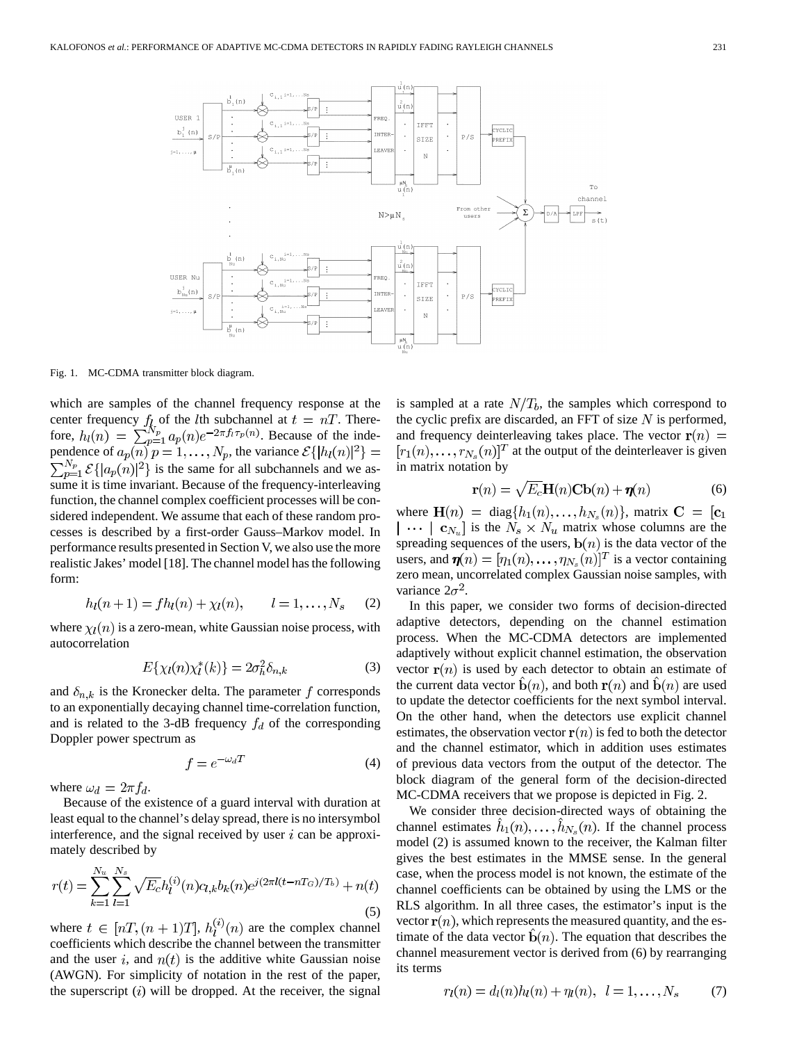

Fig. 1. MC-CDMA transmitter block diagram.

which are samples of the channel frequency response at the center frequency  $f_l$  of the *l*th subchannel at  $t = nT$ . Therefore,  $h_l(n) = \sum_{n=1}^{N_p} a_p(n) e^{-2\pi f_l \tau_p(n)}$ . Because of the independence of  $a_p(n)$   $p = 1, \ldots, N_p$ , the variance  $\sum_{p=1}^{N_p} \mathcal{E}\{|a_p(n)|^2\}$  is the same for all subchannels and we assume it is time invariant. Because of the frequency-interleaving function, the channel complex coefficient processes will be considered independent. We assume that each of these random processes is described by a first-order Gauss–Markov model. In performance results presented in Section V, we also use the more realistic Jakes' model [18]. The channel model has the following form:

$$
h_l(n+1) = fh_l(n) + \chi_l(n), \qquad l = 1, ..., N_s \qquad (2)
$$

where  $\chi_l(n)$  is a zero-mean, white Gaussian noise process, with autocorrelation

$$
E\{\chi_l(n)\chi_l^*(k)\} = 2\sigma_h^2 \delta_{n,k} \tag{3}
$$

and  $\delta_{n,k}$  is the Kronecker delta. The parameter f corresponds to an exponentially decaying channel time-correlation function, and is related to the 3-dB frequency  $f_d$  of the corresponding Doppler power spectrum as

$$
f = e^{-\omega_d T} \tag{4}
$$

where  $\omega_d = 2\pi f_d$ .

Because of the existence of a guard interval with duration at least equal to the channel's delay spread, there is no intersymbol interference, and the signal received by user  $i$  can be approximately described by

$$
r(t) = \sum_{k=1}^{N_u} \sum_{l=1}^{N_s} \sqrt{E_c} h_l^{(i)}(n) c_{l,k} b_k(n) e^{j(2\pi l(t - nT_G)/T_b)} + n(t)
$$
\n(5)

where  $t \in [nT, (n+1)T], h_l^{(i)}(n)$  are the complex channel coefficients which describe the channel between the transmitter and the user i, and  $n(t)$  is the additive white Gaussian noise (AWGN). For simplicity of notation in the rest of the paper, the superscript  $(i)$  will be dropped. At the receiver, the signal is sampled at a rate  $N/T_b$ , the samples which correspond to the cyclic prefix are discarded, an FFT of size  $N$  is performed, and frequency deinterleaving takes place. The vector  $r(n)$  =  $[r_1(n), \ldots, r_{N_s}(n)]^T$  at the output of the deinterleaver is given in matrix notation by

$$
\mathbf{r}(n) = \sqrt{E_c} \mathbf{H}(n) \mathbf{Cb}(n) + \eta(n) \tag{6}
$$

where  $\mathbf{H}(n) = \text{diag}\{h_1(n), \dots, h_{N_s}(n)\}\$ , matrix  $\mathbf{C} = [\mathbf{c}_1, \dots, \mathbf{c}_s]$  $|\cdots|$   $\mathbf{c}_{N_u}]$  is the  $N_s \times N_u$  matrix whose columns are the spreading sequences of the users,  $\mathbf{b}(n)$  is the data vector of the users, and  $\eta(n) = [\eta_1(n), \dots, \eta_{N_s}(n)]^T$  is a vector containing zero mean, uncorrelated complex Gaussian noise samples, with variance  $2\sigma^2$ .

In this paper, we consider two forms of decision-directed adaptive detectors, depending on the channel estimation process. When the MC-CDMA detectors are implemented adaptively without explicit channel estimation, the observation vector  $r(n)$  is used by each detector to obtain an estimate of the current data vector  $\mathbf{b}(n)$ , and both  $\mathbf{r}(n)$  and  $\mathbf{b}(n)$  are used to update the detector coefficients for the next symbol interval. On the other hand, when the detectors use explicit channel estimates, the observation vector  $r(n)$  is fed to both the detector and the channel estimator, which in addition uses estimates of previous data vectors from the output of the detector. The block diagram of the general form of the decision-directed MC-CDMA receivers that we propose is depicted in Fig. 2.

We consider three decision-directed ways of obtaining the channel estimates  $h_1(n), \ldots, h_{N_s}(n)$ . If the channel process model (2) is assumed known to the receiver, the Kalman filter gives the best estimates in the MMSE sense. In the general case, when the process model is not known, the estimate of the channel coefficients can be obtained by using the LMS or the RLS algorithm. In all three cases, the estimator's input is the vector  $r(n)$ , which represents the measured quantity, and the estimate of the data vector  $\mathbf{b}(n)$ . The equation that describes the channel measurement vector is derived from (6) by rearranging its terms

$$
r_l(n) = d_l(n)h_l(n) + \eta_l(n), \ \ l = 1, \dots, N_s \tag{7}
$$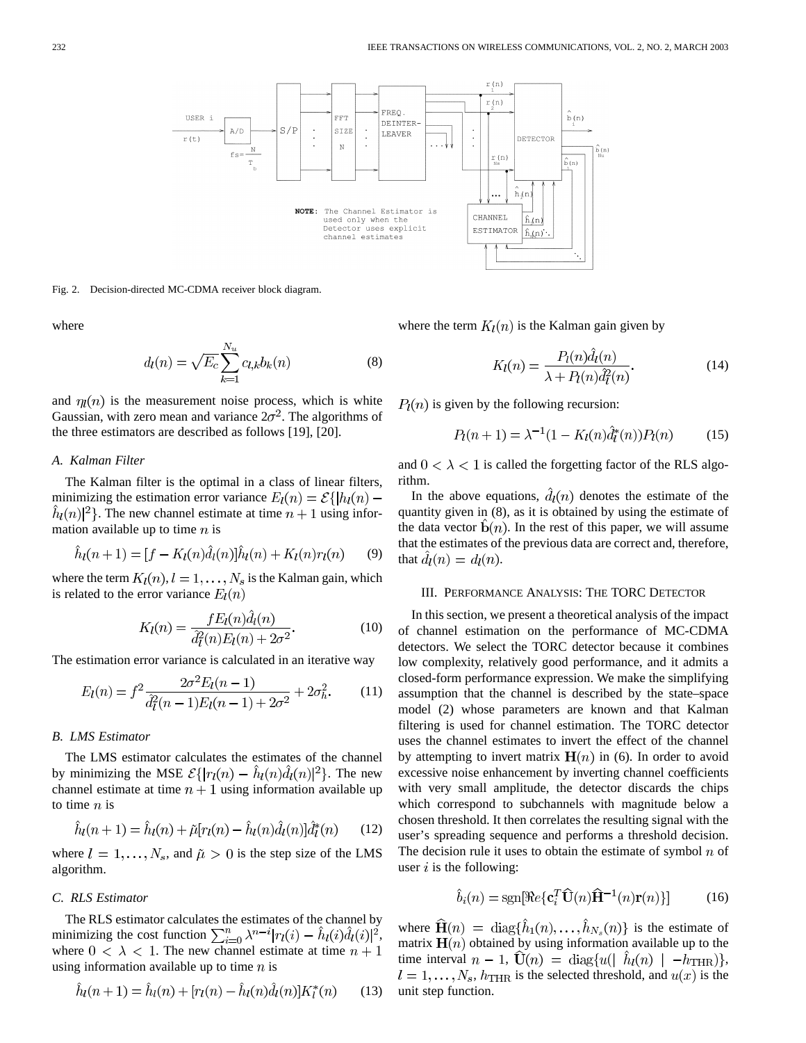

Fig. 2. Decision-directed MC-CDMA receiver block diagram.

where

$$
d_l(n) = \sqrt{E_c} \sum_{k=1}^{N_u} c_{l,k} b_k(n)
$$
 (8)

and  $\eta_l(n)$  is the measurement noise process, which is white Gaussian, with zero mean and variance  $2\sigma^2$ . The algorithms of the three estimators are described as follows [19], [20].

### *A. Kalman Filter*

The Kalman filter is the optimal in a class of linear filters, minimizing the estimation error variance  $E_l(n) = \mathcal{E}\{h_l(n) \hat{h}_l(n)|^2$ . The new channel estimate at time  $n+1$  using information available up to time  $n$  is

$$
\hat{h}_l(n+1) = [f - K_l(n)\hat{d}_l(n)]\hat{h}_l(n) + K_l(n)r_l(n) \tag{9}
$$

where the term  $K_l(n)$ ,  $l = 1, \ldots, N_s$  is the Kalman gain, which is related to the error variance  $E_l(n)$ 

$$
K_l(n) = \frac{fE_l(n)\dot{d}_l(n)}{\hat{d}_l^2(n)E_l(n) + 2\sigma^2}.
$$
\n(10)

The estimation error variance is calculated in an iterative way

$$
E_l(n) = f^2 \frac{2\sigma^2 E_l(n-1)}{\hat{d}_l^2(n-1)E_l(n-1) + 2\sigma^2} + 2\sigma_h^2.
$$
 (11)

## *B. LMS Estimator*

The LMS estimator calculates the estimates of the channel by minimizing the MSE  $\mathcal{E}\{|r_l(n) - \hat{h}_l(n)\hat{d}_l(n)|^2\}$ . The new channel estimate at time  $n + 1$  using information available up to time  $n$  is

$$
\hat{h}_l(n+1) = \hat{h}_l(n) + \tilde{\mu}[r_l(n) - \hat{h}_l(n)\hat{d}_l(n)]\hat{d}_l^*(n) \tag{12}
$$

where  $l = 1, \ldots, N_s$ , and  $\tilde{\mu} > 0$  is the step size of the LMS algorithm.

# *C. RLS Estimator*

The RLS estimator calculates the estimates of the channel by minimizing the cost function  $\sum_{i=0}^{n} \lambda^{n-i} |r_i(i) - \hat{h}_i(i)\hat{d}_i(i)|^2$ , where  $0 < \lambda < 1$ . The new channel estimate at time  $n + 1$ using information available up to time  $n$  is

$$
\hat{h}_l(n+1) = \hat{h}_l(n) + [r_l(n) - \hat{h}_l(n)\hat{d}_l(n)]K_l^*(n) \tag{13}
$$

where the term  $K_l(n)$  is the Kalman gain given by

$$
K_l(n) = \frac{P_l(n)\tilde{d}_l(n)}{\lambda + P_l(n)\tilde{d}_l^2(n)}.
$$
\n(14)

 $P_l(n)$  is given by the following recursion:

$$
P_l(n+1) = \lambda^{-1} (1 - K_l(n) \hat{d}_l^*(n)) P_l(n)
$$
 (15)

and  $0 < \lambda < 1$  is called the forgetting factor of the RLS algorithm.

In the above equations,  $d_l(n)$  denotes the estimate of the quantity given in (8), as it is obtained by using the estimate of the data vector  $\mathbf{b}(n)$ . In the rest of this paper, we will assume that the estimates of the previous data are correct and, therefore, that  $d_l(n) = d_l(n)$ .

#### III. PERFORMANCE ANALYSIS: THE TORC DETECTOR

In this section, we present a theoretical analysis of the impact of channel estimation on the performance of MC-CDMA detectors. We select the TORC detector because it combines low complexity, relatively good performance, and it admits a closed-form performance expression. We make the simplifying assumption that the channel is described by the state–space model (2) whose parameters are known and that Kalman filtering is used for channel estimation. The TORC detector uses the channel estimates to invert the effect of the channel by attempting to invert matrix  $\mathbf{H}(n)$  in (6). In order to avoid excessive noise enhancement by inverting channel coefficients with very small amplitude, the detector discards the chips which correspond to subchannels with magnitude below a chosen threshold. It then correlates the resulting signal with the user's spreading sequence and performs a threshold decision. The decision rule it uses to obtain the estimate of symbol  $n$  of user  $i$  is the following:

$$
\hat{b}_i(n) = \text{sgn}[\Re e\{\mathbf{c}_i^T \hat{\mathbf{U}}(n)\hat{\mathbf{H}}^{-1}(n)\mathbf{r}(n)\}] \quad (16)
$$

where  $\widehat{\mathbf{H}}(n) = \text{diag}\{\hat{h}_1(n), \dots, \hat{h}_{N_s}(n)\}\$ is the estimate of matrix  $H(n)$  obtained by using information available up to the time interval  $n-1$ ,  $\mathbf{U}(n) = \text{diag}\{u(|h_l(n) | - h_{\text{THR}})\}\$ ,  $l = 1, \ldots, N_s, h_{\text{THR}}$  is the selected threshold, and  $u(x)$  is the unit step function.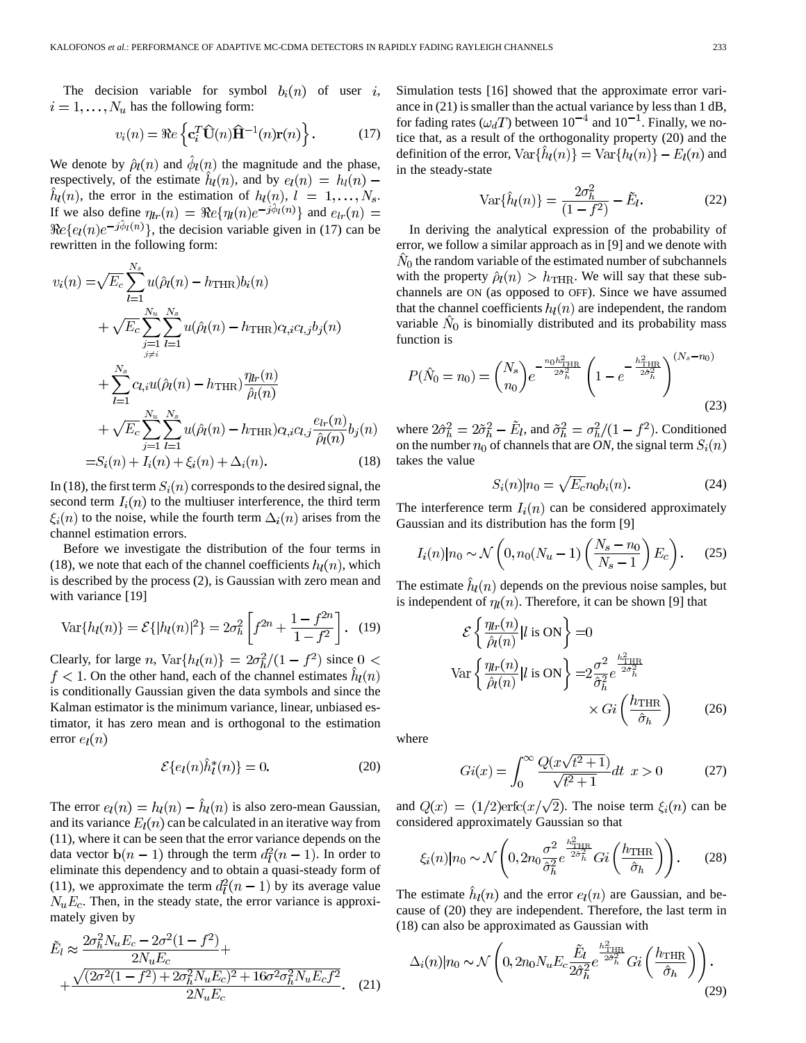The decision variable for symbol  $b_i(n)$  of user i,  $i = 1, \ldots, N_u$  has the following form:

$$
v_i(n) = \Re e \left\{ \mathbf{c}_i^T \widehat{\mathbf{U}}(n) \widehat{\mathbf{H}}^{-1}(n) \mathbf{r}(n) \right\}.
$$
 (17)

We denote by  $\hat{\rho}_l(n)$  and  $\hat{\phi}_l(n)$  the magnitude and the phase, respectively, of the estimate  $\hat{h}_l(n)$ , and by  $e_l(n) = h_l(n)$  –  $\hat{h}_l(n)$ , the error in the estimation of  $h_l(n)$ ,  $l = 1, \ldots, N_s$ . If we also define  $\eta_{lr}(n) = \Re e{\eta_l(n)e^{-j\hat{\phi}_l(n)}}$  and  $e_{lr}(n) =$  $\Re e\{e_l(n)e^{-j\hat{\phi}_l(n)}\}$ , the decision variable given in (17) can be rewritten in the following form:

$$
v_i(n) = \sqrt{E_c} \sum_{l=1}^{N_s} u(\hat{\rho}_l(n) - h_{\text{THR}}) b_i(n)
$$
  
+  $\sqrt{E_c} \sum_{j=1}^{N_u} \sum_{l=1}^{N_s} u(\hat{\rho}_l(n) - h_{\text{THR}}) c_{l,i} c_{l,j} b_j(n)$   
+  $\sum_{l=1}^{N_s} c_{l,i} u(\hat{\rho}_l(n) - h_{\text{THR}}) \frac{\eta_{lr}(n)}{\hat{\rho}_l(n)}$   
+  $\sqrt{E_c} \sum_{j=1}^{N_u} \sum_{l=1}^{N_s} u(\hat{\rho}_l(n) - h_{\text{THR}}) c_{l,i} c_{l,j} \frac{e_{lr}(n)}{\hat{\rho}_l(n)} b_j(n)$   
=  $S_i(n) + I_i(n) + \xi_i(n) + \Delta_i(n).$  (18)

In (18), the first term  $S_i(n)$  corresponds to the desired signal, the second term  $I_i(n)$  to the multiuser interference, the third term  $\xi_i(n)$  to the noise, while the fourth term  $\Delta_i(n)$  arises from the channel estimation errors.

Before we investigate the distribution of the four terms in (18), we note that each of the channel coefficients  $h_l(n)$ , which is described by the process (2), is Gaussian with zero mean and with variance [19]

$$
\text{Var}\{h_l(n)\} = \mathcal{E}\{|h_l(n)|^2\} = 2\sigma_h^2 \left[f^{2n} + \frac{1 - f^{2n}}{1 - f^2}\right]. \tag{19}
$$

Clearly, for large n,  $\text{Var}\{h_l(n)\} = 2\sigma_h^2/(1-f^2)$  since  $0 <$  $f < 1$ . On the other hand, each of the channel estimates  $\hat{h}_l(n)$ is conditionally Gaussian given the data symbols and since the Kalman estimator is the minimum variance, linear, unbiased estimator, it has zero mean and is orthogonal to the estimation error  $e_l(n)$ 

$$
\mathcal{E}\{e_l(n)\hat{h}_l^*(n)\} = 0.
$$
\n(20)

The error  $e_l(n) = h_l(n) - \hat{h}_l(n)$  is also zero-mean Gaussian, and its variance  $E_l(n)$  can be calculated in an iterative way from (11), where it can be seen that the error variance depends on the data vector  $\mathbf{b}(n-1)$  through the term  $d_i^2(n-1)$ . In order to eliminate this dependency and to obtain a quasi-steady form of (11), we approximate the term  $d_i^2(n-1)$  by its average value  $N_uE_c$ . Then, in the steady state, the error variance is approximately given by

$$
\tilde{E}_l \approx \frac{2\sigma_h^2 N_u E_c - 2\sigma^2 (1 - f^2)}{2N_u E_c} + \frac{\sqrt{(2\sigma^2 (1 - f^2) + 2\sigma_h^2 N_u E_c)^2 + 16\sigma^2 \sigma_h^2 N_u E_c f^2}}{2N_u E_c}.
$$
\n(21)

Simulation tests [16] showed that the approximate error variance in (21) is smaller than the actual variance by less than 1 dB, for fading rates  $(\omega_d T)$  between  $10^{-4}$  and  $10^{-1}$ . Finally, we notice that, as a result of the orthogonality property (20) and the definition of the error,  $\text{Var}\{\hat{h}_l(n)\} = \text{Var}\{h_l(n)\} - E_l(n)$  and in the steady-state

$$
\text{Var}\{\hat{h}_l(n)\} = \frac{2\sigma_h^2}{(1 - f^2)} - \tilde{E}_l. \tag{22}
$$

In deriving the analytical expression of the probability of error, we follow a similar approach as in [9] and we denote with  $N_0$  the random variable of the estimated number of subchannels with the property  $\hat{\rho}_l(n) > h_{\text{THR}}$ . We will say that these subchannels are ON (as opposed to OFF). Since we have assumed that the channel coefficients  $h_l(n)$  are independent, the random variable  $\hat{N}_0$  is binomially distributed and its probability mass function is

$$
P(\hat{N}_0 = n_0) = {N_s \choose n_0} e^{-\frac{n_0 h_{\text{THR}}^2}{2\sigma_h^2}} \left(1 - e^{-\frac{h_{\text{THR}}^2}{2\sigma_h^2}}\right)^{(N_s - n_0)}
$$
(23)

where  $2\hat{\sigma}_h^2 = 2\tilde{\sigma}_h^2 - \tilde{E}_l$ , and  $\tilde{\sigma}_h^2 = \sigma_h^2/(1-f^2)$ . Conditioned on the number  $n_0$  of channels that are *ON*, the signal term  $S_i(n)$ takes the value

$$
S_i(n)|n_0 = \sqrt{E_c}n_0b_i(n). \tag{24}
$$

The interference term  $I_i(n)$  can be considered approximately Gaussian and its distribution has the form [9]

$$
I_i(n)|n_0 \sim \mathcal{N}\left(0, n_0(N_u - 1)\left(\frac{N_s - n_0}{N_s - 1}\right)E_c\right). \tag{25}
$$

The estimate  $\hat{h}_l(n)$  depends on the previous noise samples, but is independent of  $\eta_l(n)$ . Therefore, it can be shown [9] that

$$
\mathcal{E}\left\{\frac{\eta_{lr}(n)}{\hat{\rho}_{l}(n)}|l \text{ is ON}\right\} = 0
$$
  
Var $\left\{\frac{\eta_{lr}(n)}{\hat{\rho}_{l}(n)}|l \text{ is ON}\right\} = 2\frac{\sigma^2}{\hat{\sigma}_h^2}e^{\frac{h_{\text{THR}}^2}{2\hat{\sigma}_h^2}}$   
 $\times Gi\left(\frac{h_{\text{THR}}}{\hat{\sigma}_h}\right)$  (26)

where

$$
Gi(x) = \int_0^\infty \frac{Q(x\sqrt{t^2 + 1})}{\sqrt{t^2 + 1}} dt \quad x > 0 \tag{27}
$$

and  $Q(x) = (1/2) \text{erfc}(x/\sqrt{2})$ . The noise term  $\xi_i(n)$  can be considered approximately Gaussian so that

$$
\xi_i(n)|n_0 \sim \mathcal{N}\left(0, 2n_0 \frac{\sigma^2}{\hat{\sigma}_h^2} e^{\frac{h_{\text{THR}}^2}{2\hat{\sigma}_h^2}} Gi\left(\frac{h_{\text{THR}}}{\hat{\sigma}_h}\right)\right). \tag{28}
$$

The estimate  $\hat{h}_l(n)$  and the error  $e_l(n)$  are Gaussian, and because of (20) they are independent. Therefore, the last term in (18) can also be approximated as Gaussian with

$$
\Delta_i(n)|n_0 \sim \mathcal{N}\left(0, 2n_0 N_u E_c \frac{\tilde{E}_l}{2\hat{\sigma}_h^2} e^{\frac{h_{\text{THR}}^2}{2\hat{\sigma}_h^2}} Gi\left(\frac{h_{\text{THR}}}{\hat{\sigma}_h}\right)\right).
$$
\n(29)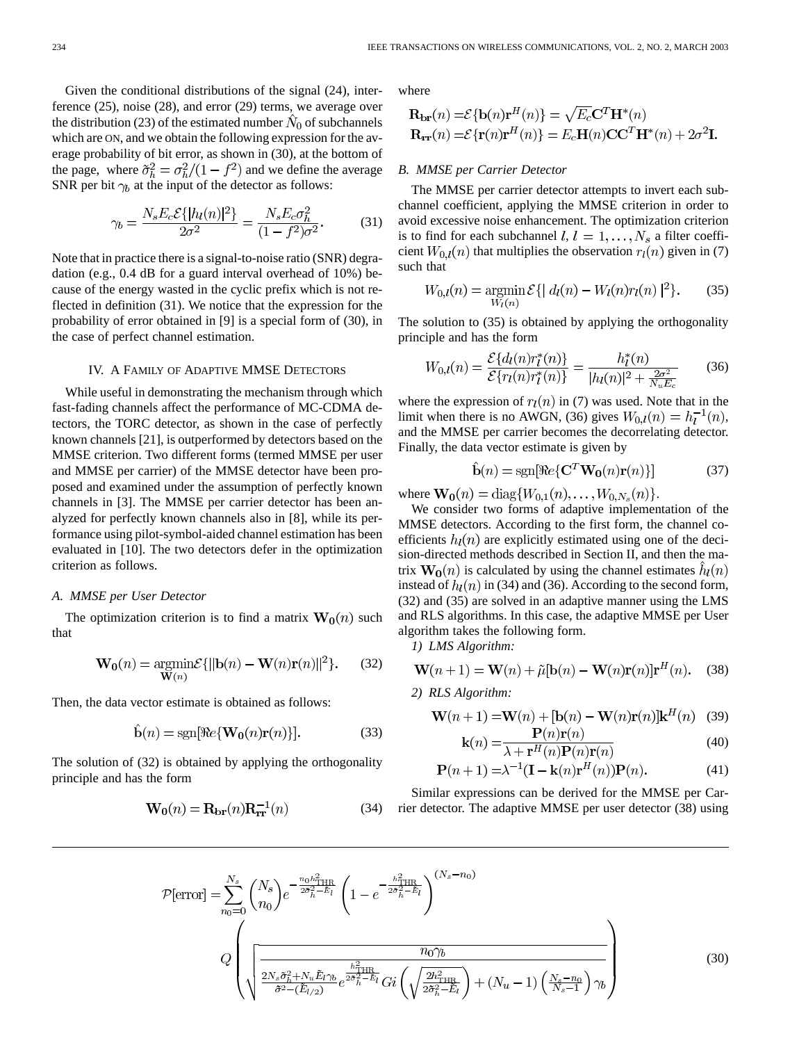Given the conditional distributions of the signal (24), interference (25), noise (28), and error (29) terms, we average over the distribution (23) of the estimated number  $\hat{N}_0$  of subchannels which are ON, and we obtain the following expression for the average probability of bit error, as shown in (30), at the bottom of the page, where  $\tilde{\sigma}_h^2 = \sigma_h^2/(1-f^2)$  and we define the average SNR per bit  $\gamma_b$  at the input of the detector as follows:

$$
\gamma_b = \frac{N_s E_c \mathcal{E} \{ |h_l(n)|^2 \}}{2\sigma^2} = \frac{N_s E_c \sigma_h^2}{(1 - f^2)\sigma^2}.
$$
 (31)

Note that in practice there is a signal-to-noise ratio (SNR) degradation (e.g., 0.4 dB for a guard interval overhead of 10%) because of the energy wasted in the cyclic prefix which is not reflected in definition (31). We notice that the expression for the probability of error obtained in [9] is a special form of (30), in the case of perfect channel estimation.

#### IV. A FAMILY OF ADAPTIVE MMSE DETECTORS

While useful in demonstrating the mechanism through which fast-fading channels affect the performance of MC-CDMA detectors, the TORC detector, as shown in the case of perfectly known channels [21], is outperformed by detectors based on the MMSE criterion. Two different forms (termed MMSE per user and MMSE per carrier) of the MMSE detector have been proposed and examined under the assumption of perfectly known channels in [3]. The MMSE per carrier detector has been analyzed for perfectly known channels also in [8], while its performance using pilot-symbol-aided channel estimation has been evaluated in [10]. The two detectors defer in the optimization criterion as follows.

#### *A. MMSE per User Detector*

The optimization criterion is to find a matrix  $\mathbf{W}_{0}(n)$  such that

$$
\mathbf{W}_0(n) = \underset{\mathbf{W}(n)}{\operatorname{argmin}} \mathcal{E}\{||\mathbf{b}(n) - \mathbf{W}(n)\mathbf{r}(n)||^2\}.
$$
 (32)

Then, the data vector estimate is obtained as follows:

$$
\hat{\mathbf{b}}(n) = \text{sgn}[\Re e{\mathbf{W_0}(n)\mathbf{r}(n)}].\tag{33}
$$

The solution of (32) is obtained by applying the orthogonality principle and has the form

$$
\mathbf{W_0}(n) = \mathbf{R_{br}}(n)\mathbf{R_{rr}^{-1}}(n)
$$
 (34)

where

$$
\mathbf{R}_{\mathbf{br}}(n) = \mathcal{E}\{\mathbf{b}(n)\mathbf{r}^H(n)\} = \sqrt{E_c}\mathbf{C}^T\mathbf{H}^*(n)
$$
  

$$
\mathbf{R}_{\mathbf{rr}}(n) = \mathcal{E}\{\mathbf{r}(n)\mathbf{r}^H(n)\} = E_c\mathbf{H}(n)\mathbf{C}\mathbf{C}^T\mathbf{H}^*(n) + 2\sigma^2\mathbf{I}.
$$

#### *B. MMSE per Carrier Detector*

The MMSE per carrier detector attempts to invert each subchannel coefficient, applying the MMSE criterion in order to avoid excessive noise enhancement. The optimization criterion is to find for each subchannel  $l, l = 1, \ldots, N_s$  a filter coefficient  $W_{0,l}(n)$  that multiplies the observation  $r_l(n)$  given in (7) such that

$$
W_{0,l}(n) = \underset{W_l(n)}{\text{argmin}} \mathcal{E}\{ |d_l(n) - W_l(n)r_l(n) |^2 \}. \tag{35}
$$

The solution to (35) is obtained by applying the orthogonality principle and has the form

$$
W_{0,l}(n) = \frac{\mathcal{E}\{d_l(n)r_l^*(n)\}}{\mathcal{E}\{r_l(n)r_l^*(n)\}} = \frac{h_l^*(n)}{|h_l(n)|^2 + \frac{2\sigma^2}{N_u E_c}}
$$
(36)

where the expression of  $r_l(n)$  in (7) was used. Note that in the limit when there is no AWGN, (36) gives  $W_{0,l}(n) = h_l^{-1}(n)$ , and the MMSE per carrier becomes the decorrelating detector. Finally, the data vector estimate is given by

$$
\hat{\mathbf{b}}(n) = \text{sgn}[\Re e\{\mathbf{C}^T \mathbf{W_0}(n)\mathbf{r}(n)\}]
$$
\n(37)

where  $\mathbf{W_0}(n) = \text{diag}\{W_{0,1}(n), \dots, W_{0,N_s}(n)\}.$ 

We consider two forms of adaptive implementation of the MMSE detectors. According to the first form, the channel coefficients  $h_l(n)$  are explicitly estimated using one of the decision-directed methods described in Section II, and then the matrix  $\mathbf{W}_0(n)$  is calculated by using the channel estimates  $h_l(n)$ instead of  $h_l(n)$  in (34) and (36). According to the second form, (32) and (35) are solved in an adaptive manner using the LMS and RLS algorithms. In this case, the adaptive MMSE per User algorithm takes the following form.

*1) LMS Algorithm:*

$$
\mathbf{W}(n+1) = \mathbf{W}(n) + \tilde{\mu}[\mathbf{b}(n) - \mathbf{W}(n)\mathbf{r}(n)]\mathbf{r}^{H}(n). \quad (38)
$$

*2) RLS Algorithm:*

$$
\mathbf{W}(n+1) = \mathbf{W}(n) + [\mathbf{b}(n) - \mathbf{W}(n)\mathbf{r}(n)]\mathbf{k}^{H}(n)
$$
 (39)

$$
\mathbf{k}(n) = \frac{\mathbf{i}(n)\mathbf{i}(n)}{\lambda + \mathbf{r}^H(n)\mathbf{P}(n)\mathbf{r}(n)}
$$
(40)

(30)

$$
\mathbf{P}(n+1) = \lambda^{-1} (\mathbf{I} - \mathbf{k}(n) \mathbf{r}^H(n)) \mathbf{P}(n).
$$
 (41)

Similar expressions can be derived for the MMSE per Carrier detector. The adaptive MMSE per user detector (38) using

$$
\mathcal{P}[\text{error}] = \sum_{n_0=0}^{N_s} {N_s \choose n_0} e^{-\frac{n_0 h_{\text{THE}}^2}{2\delta_h^2 - \tilde{E}_l}} \left(1 - e^{-\frac{h_{\text{THR}}^2}{2\delta_h^2 - \tilde{E}_l}}\right)^{(N_s - n_0)}
$$
  

$$
Q\left(\sqrt{\frac{n_0 \gamma_b}{\frac{2N_s \tilde{\sigma}_h^2 + N_u \tilde{E}_l \gamma_b}{\tilde{\sigma}^2 - (\tilde{E}_{l/2})}}} e^{\frac{h_{\text{THR}}^2}{2\tilde{\sigma}_h^2 - \tilde{E}_l}} Gi\left(\sqrt{\frac{2h_{\text{THR}}^2}{2\tilde{\sigma}_h^2 - \tilde{E}_l}}\right) + (N_u - 1)\left(\frac{N_s - n_0}{N_s - 1}\right)\gamma_b\right)
$$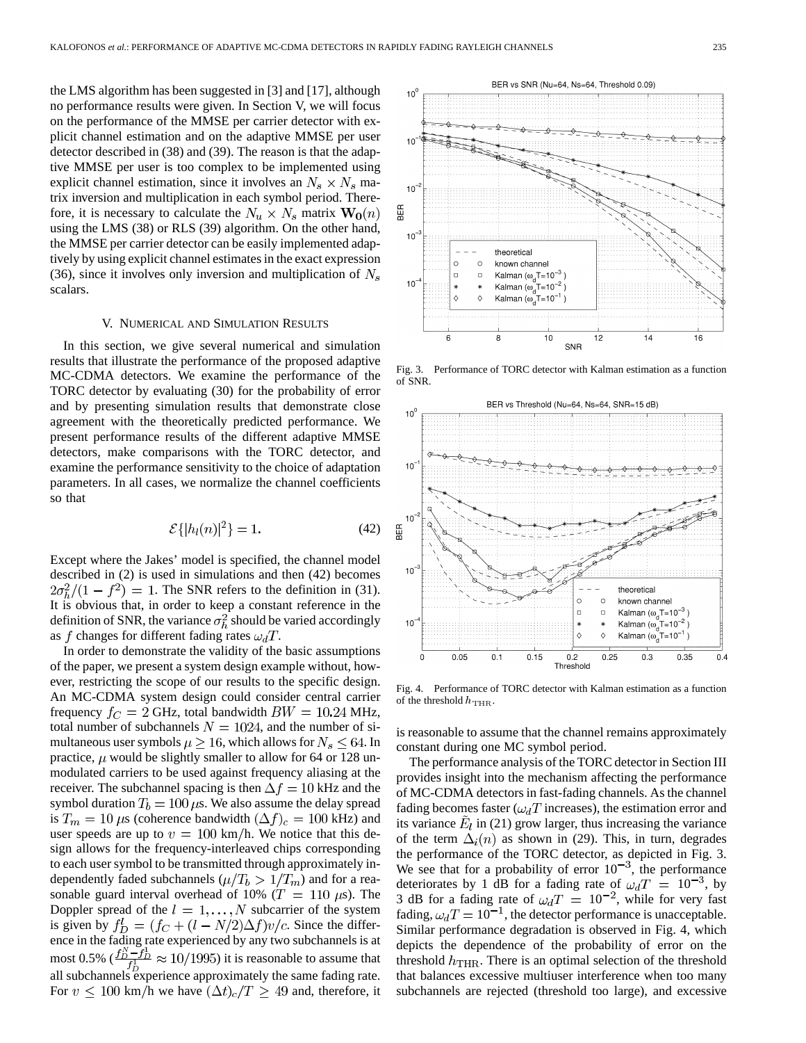the LMS algorithm has been suggested in [3] and [17], although no performance results were given. In Section V, we will focus on the performance of the MMSE per carrier detector with explicit channel estimation and on the adaptive MMSE per user detector described in (38) and (39). The reason is that the adaptive MMSE per user is too complex to be implemented using explicit channel estimation, since it involves an  $N_s \times N_s$  matrix inversion and multiplication in each symbol period. Therefore, it is necessary to calculate the  $N_u \times N_s$  matrix  $\mathbf{W}_0(n)$ using the LMS (38) or RLS (39) algorithm. On the other hand, the MMSE per carrier detector can be easily implemented adaptively by using explicit channel estimates in the exact expression (36), since it involves only inversion and multiplication of  $N_s$ scalars.

## V. NUMERICAL AND SIMULATION RESULTS

In this section, we give several numerical and simulation results that illustrate the performance of the proposed adaptive MC-CDMA detectors. We examine the performance of the TORC detector by evaluating (30) for the probability of error and by presenting simulation results that demonstrate close agreement with the theoretically predicted performance. We present performance results of the different adaptive MMSE detectors, make comparisons with the TORC detector, and examine the performance sensitivity to the choice of adaptation parameters. In all cases, we normalize the channel coefficients so that

$$
\mathcal{E}\{|h_l(n)|^2\} = 1.
$$
\n(42)

Except where the Jakes' model is specified, the channel model described in (2) is used in simulations and then (42) becomes  $2\sigma_h^2/(1-f^2) = 1$ . The SNR refers to the definition in (31). It is obvious that, in order to keep a constant reference in the definition of SNR, the variance  $\sigma_h^2$  should be varied accordingly as f changes for different fading rates  $\omega_d$ T.

In order to demonstrate the validity of the basic assumptions of the paper, we present a system design example without, however, restricting the scope of our results to the specific design. An MC-CDMA system design could consider central carrier frequency  $f_C = 2$  GHz, total bandwidth  $BW = 10.24$  MHz, total number of subchannels  $N = 1024$ , and the number of simultaneous user symbols  $\mu \ge 16$ , which allows for  $N_s \le 64$ . In practice,  $\mu$  would be slightly smaller to allow for 64 or 128 unmodulated carriers to be used against frequency aliasing at the receiver. The subchannel spacing is then  $\Delta f = 10$  kHz and the symbol duration  $T_b = 100 \,\mu s$ . We also assume the delay spread is  $T_m = 10 \,\mu s$  (coherence bandwidth  $(\Delta f)_c = 100 \text{ kHz}$ ) and user speeds are up to  $v = 100$  km/h. We notice that this design allows for the frequency-interleaved chips corresponding to each user symbol to be transmitted through approximately independently faded subchannels ( $\mu/T_b > 1/T_m$ ) and for a reasonable guard interval overhead of 10% ( $T = 110 \mu s$ ). The Doppler spread of the  $l = 1, ..., N$  subcarrier of the system is given by  $f_D^l = (f_C + (l - N/2)\Delta f)v/c$ . Since the difference in the fading rate experienced by any two subchannels is at most 0.5% ( $\frac{J_D - J_D}{f} \approx 10/1995$ ) it is reasonable to assume that all subchannels experience approximately the same fading rate. For  $v \le 100$  km/h we have  $(\Delta t)_c/T \ge 49$  and, therefore, it



Fig. 3. Performance of TORC detector with Kalman estimation as a function of SNR.



Fig. 4. Performance of TORC detector with Kalman estimation as a function of the threshold  $h_{\text{THR}}$ 

is reasonable to assume that the channel remains approximately constant during one MC symbol period.

The performance analysis of the TORC detector in Section III provides insight into the mechanism affecting the performance of MC-CDMA detectors in fast-fading channels. As the channel fading becomes faster ( $\omega_d$ T increases), the estimation error and its variance  $E_l$  in (21) grow larger, thus increasing the variance of the term  $\Delta_i(n)$  as shown in (29). This, in turn, degrades the performance of the TORC detector, as depicted in Fig. 3. We see that for a probability of error  $10^{-3}$ , the performance deteriorates by 1 dB for a fading rate of  $\omega_d T = 10^{-3}$ , by 3 dB for a fading rate of  $\omega_d T = 10^{-2}$ , while for very fast fading,  $\omega_d T = 10^{-1}$ , the detector performance is unacceptable. Similar performance degradation is observed in Fig. 4, which depicts the dependence of the probability of error on the threshold  $h_{\text{THR}}$ . There is an optimal selection of the threshold that balances excessive multiuser interference when too many subchannels are rejected (threshold too large), and excessive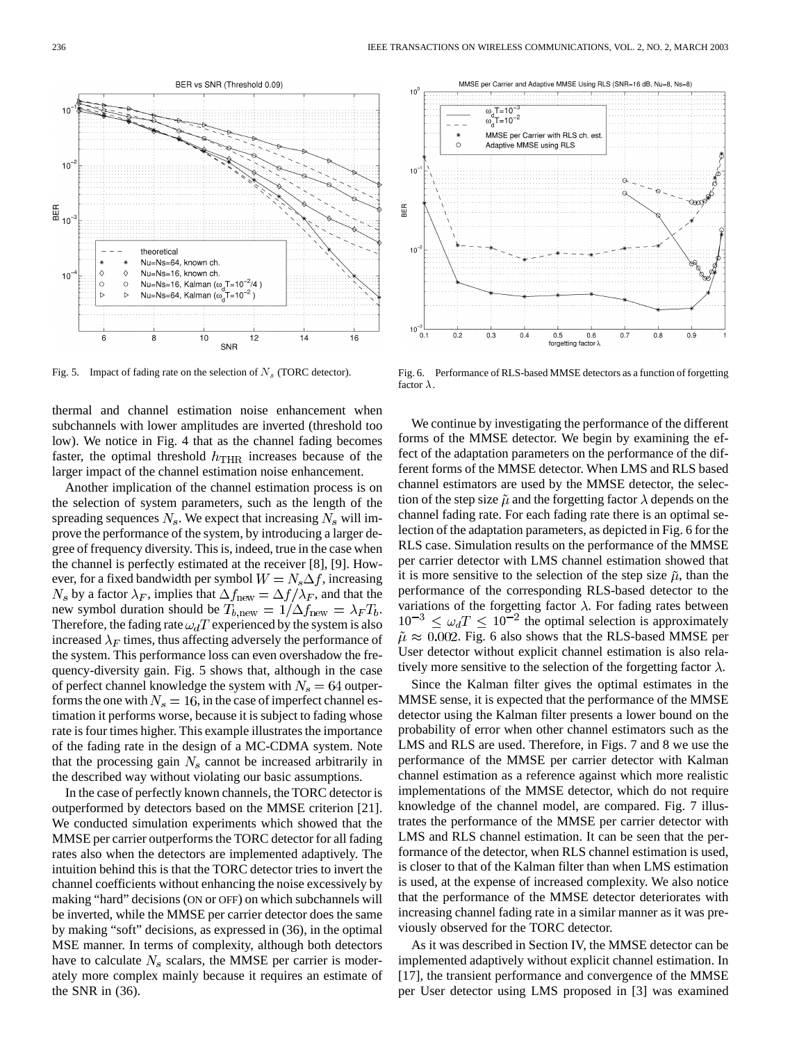MMSE per Carrier with RLS ch. est Adaptive MMSE using RLS

 $\omega_d$ T=10  $\omega_d$ T=10<sup>-2</sup>

 $\circ$ 

 $10<sup>6</sup>$ 

 $10<sup>7</sup>$ 

 $10<sup>-</sup>$ 

MMSE per Carrier and Adaptive MMSE Using RLS (SNR=16 dB, Nu=8, Ns=8)



Fig. 5. Impact of fading rate on the selection of  $N_s$  (TORC detector).

thermal and channel estimation noise enhancement when subchannels with lower amplitudes are inverted (threshold too low). We notice in Fig. 4 that as the channel fading becomes faster, the optimal threshold  $h_{\text{THR}}$  increases because of the larger impact of the channel estimation noise enhancement.

Another implication of the channel estimation process is on the selection of system parameters, such as the length of the spreading sequences  $N_s$ . We expect that increasing  $N_s$  will improve the performance of the system, by introducing a larger degree of frequency diversity. This is, indeed, true in the case when the channel is perfectly estimated at the receiver [8], [9]. However, for a fixed bandwidth per symbol  $W = N_s \Delta f$ , increasing  $N_s$  by a factor  $\lambda_F$ , implies that  $\Delta f_{\text{new}} = \Delta f / \lambda_F$ , and that the new symbol duration should be  $T_{b, new} = 1/\Delta f_{new} = \lambda_F T_b$ . Therefore, the fading rate  $\omega_d T$  experienced by the system is also increased  $\lambda_F$  times, thus affecting adversely the performance of the system. This performance loss can even overshadow the frequency-diversity gain. Fig. 5 shows that, although in the case of perfect channel knowledge the system with  $N_s = 64$  outperforms the one with  $N_s = 16$ , in the case of imperfect channel estimation it performs worse, because it is subject to fading whose rate is four times higher. This example illustrates the importance of the fading rate in the design of a MC-CDMA system. Note that the processing gain  $N_s$  cannot be increased arbitrarily in the described way without violating our basic assumptions.

In the case of perfectly known channels, the TORC detector is outperformed by detectors based on the MMSE criterion [21]. We conducted simulation experiments which showed that the MMSE per carrier outperforms the TORC detector for all fading rates also when the detectors are implemented adaptively. The intuition behind this is that the TORC detector tries to invert the channel coefficients without enhancing the noise excessively by making "hard" decisions (ON or OFF) on which subchannels will be inverted, while the MMSE per carrier detector does the same by making "soft" decisions, as expressed in (36), in the optimal MSE manner. In terms of complexity, although both detectors have to calculate  $N_s$  scalars, the MMSE per carrier is moderately more complex mainly because it requires an estimate of the SNR in (36).

 $10^{\circ}$  $0.1$  $0.2$  $0.3$  $0.4$  $0.5$  $0.6$  $0.7$  $0.8$  $0.9$ forgetting factor  $\lambda$ 

Fig. 6. Performance of RLS-based MMSE detectors as a function of forgetting factor  $\lambda$ .

We continue by investigating the performance of the different forms of the MMSE detector. We begin by examining the effect of the adaptation parameters on the performance of the different forms of the MMSE detector. When LMS and RLS based channel estimators are used by the MMSE detector, the selection of the step size  $\tilde{\mu}$  and the forgetting factor  $\lambda$  depends on the channel fading rate. For each fading rate there is an optimal selection of the adaptation parameters, as depicted in Fig. 6 for the RLS case. Simulation results on the performance of the MMSE per carrier detector with LMS channel estimation showed that it is more sensitive to the selection of the step size  $\tilde{\mu}$ , than the performance of the corresponding RLS-based detector to the variations of the forgetting factor  $\lambda$ . For fading rates between  $10^{-3} \leq \omega_d T \leq 10^{-2}$  the optimal selection is approximately  $\tilde{\mu} \approx 0.002$ . Fig. 6 also shows that the RLS-based MMSE per User detector without explicit channel estimation is also relatively more sensitive to the selection of the forgetting factor  $\lambda$ .

Since the Kalman filter gives the optimal estimates in the MMSE sense, it is expected that the performance of the MMSE detector using the Kalman filter presents a lower bound on the probability of error when other channel estimators such as the LMS and RLS are used. Therefore, in Figs. 7 and 8 we use the performance of the MMSE per carrier detector with Kalman channel estimation as a reference against which more realistic implementations of the MMSE detector, which do not require knowledge of the channel model, are compared. Fig. 7 illustrates the performance of the MMSE per carrier detector with LMS and RLS channel estimation. It can be seen that the performance of the detector, when RLS channel estimation is used, is closer to that of the Kalman filter than when LMS estimation is used, at the expense of increased complexity. We also notice that the performance of the MMSE detector deteriorates with increasing channel fading rate in a similar manner as it was previously observed for the TORC detector.

As it was described in Section IV, the MMSE detector can be implemented adaptively without explicit channel estimation. In [17], the transient performance and convergence of the MMSE per User detector using LMS proposed in [3] was examined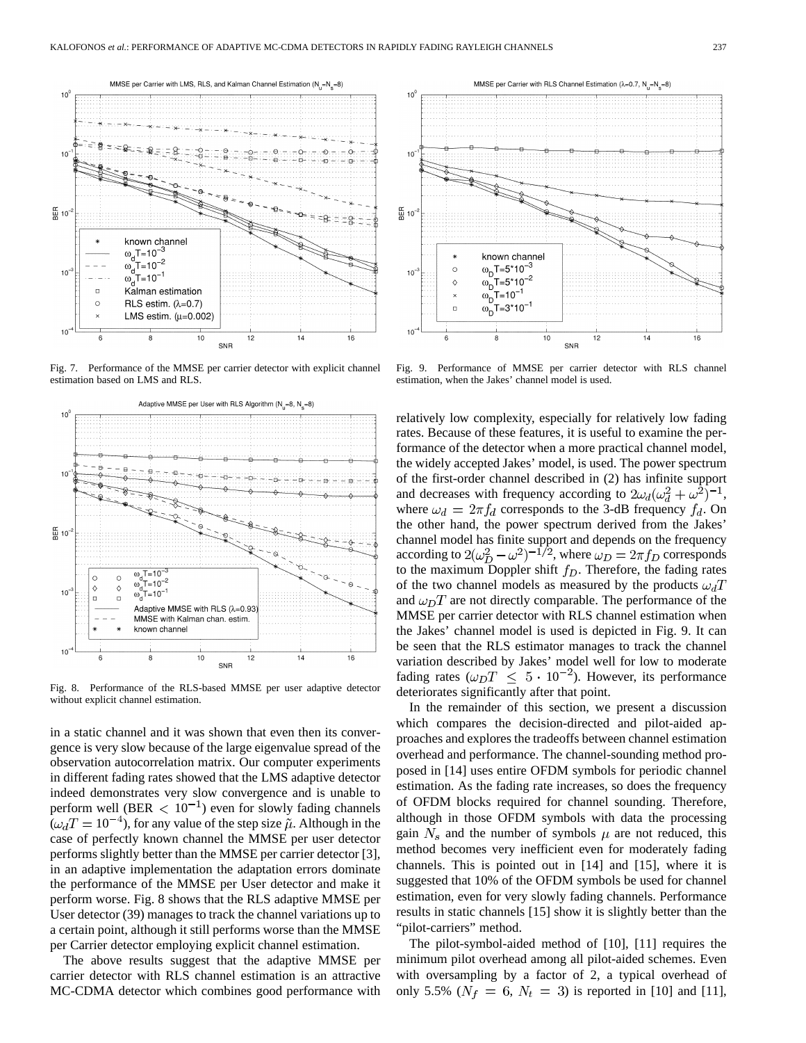

Fig. 7. Performance of the MMSE per carrier detector with explicit channel estimation based on LMS and RLS.



Fig. 8. Performance of the RLS-based MMSE per user adaptive detector without explicit channel estimation.

in a static channel and it was shown that even then its convergence is very slow because of the large eigenvalue spread of the observation autocorrelation matrix. Our computer experiments in different fading rates showed that the LMS adaptive detector indeed demonstrates very slow convergence and is unable to perform well (BER  $< 10^{-1}$ ) even for slowly fading channels  $(\omega_d T = 10^{-4})$ , for any value of the step size  $\tilde{\mu}$ . Although in the case of perfectly known channel the MMSE per user detector performs slightly better than the MMSE per carrier detector [3], in an adaptive implementation the adaptation errors dominate the performance of the MMSE per User detector and make it perform worse. Fig. 8 shows that the RLS adaptive MMSE per User detector (39) manages to track the channel variations up to a certain point, although it still performs worse than the MMSE per Carrier detector employing explicit channel estimation.

The above results suggest that the adaptive MMSE per carrier detector with RLS channel estimation is an attractive MC-CDMA detector which combines good performance with



Fig. 9. Performance of MMSE per carrier detector with RLS channel estimation, when the Jakes' channel model is used.

relatively low complexity, especially for relatively low fading rates. Because of these features, it is useful to examine the performance of the detector when a more practical channel model, the widely accepted Jakes' model, is used. The power spectrum of the first-order channel described in (2) has infinite support and decreases with frequency according to  $2\omega_d(\omega_d^2 + \omega^2)^{-1}$ , where  $\omega_d = 2\pi f_d$  corresponds to the 3-dB frequency  $f_d$ . On the other hand, the power spectrum derived from the Jakes' channel model has finite support and depends on the frequency according to  $2(\omega_D^2 - \omega^2)^{-1/2}$ , where  $\omega_D = 2\pi f_D$  corresponds to the maximum Doppler shift  $f_D$ . Therefore, the fading rates of the two channel models as measured by the products  $\omega_dT$ and  $\omega_D T$  are not directly comparable. The performance of the MMSE per carrier detector with RLS channel estimation when the Jakes' channel model is used is depicted in Fig. 9. It can be seen that the RLS estimator manages to track the channel variation described by Jakes' model well for low to moderate fading rates  $(\omega_D T \leq 5 \cdot 10^{-2})$ . However, its performance deteriorates significantly after that point.

In the remainder of this section, we present a discussion which compares the decision-directed and pilot-aided approaches and explores the tradeoffs between channel estimation overhead and performance. The channel-sounding method proposed in [14] uses entire OFDM symbols for periodic channel estimation. As the fading rate increases, so does the frequency of OFDM blocks required for channel sounding. Therefore, although in those OFDM symbols with data the processing gain  $N_s$  and the number of symbols  $\mu$  are not reduced, this method becomes very inefficient even for moderately fading channels. This is pointed out in [14] and [15], where it is suggested that 10% of the OFDM symbols be used for channel estimation, even for very slowly fading channels. Performance results in static channels [15] show it is slightly better than the "pilot-carriers" method.

The pilot-symbol-aided method of [10], [11] requires the minimum pilot overhead among all pilot-aided schemes. Even with oversampling by a factor of 2, a typical overhead of only 5.5% ( $N_f = 6$ ,  $N_t = 3$ ) is reported in [10] and [11],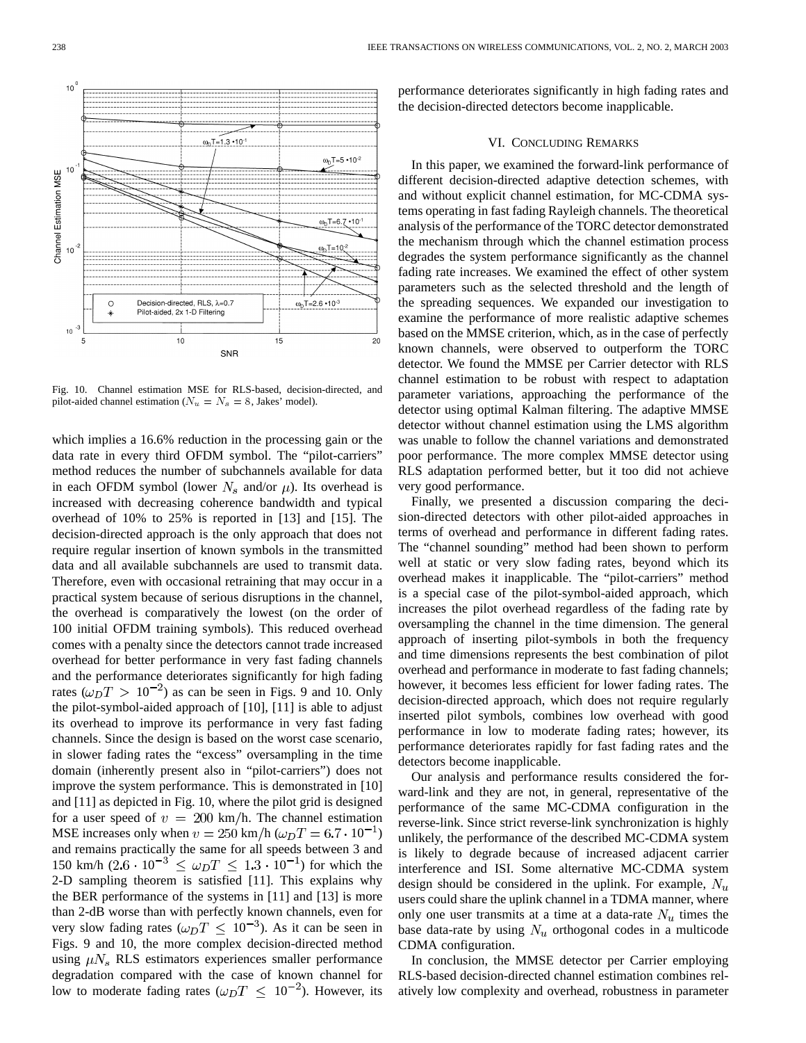

Fig. 10. Channel estimation MSE for RLS-based, decision-directed, and pilot-aided channel estimation ( $N_u = N_s = 8$ , Jakes' model).

which implies a 16.6% reduction in the processing gain or the data rate in every third OFDM symbol. The "pilot-carriers" method reduces the number of subchannels available for data in each OFDM symbol (lower  $N_s$  and/or  $\mu$ ). Its overhead is increased with decreasing coherence bandwidth and typical overhead of 10% to 25% is reported in [13] and [15]. The decision-directed approach is the only approach that does not require regular insertion of known symbols in the transmitted data and all available subchannels are used to transmit data. Therefore, even with occasional retraining that may occur in a practical system because of serious disruptions in the channel, the overhead is comparatively the lowest (on the order of 100 initial OFDM training symbols). This reduced overhead comes with a penalty since the detectors cannot trade increased overhead for better performance in very fast fading channels and the performance deteriorates significantly for high fading rates ( $\omega_D T > 10^{-2}$ ) as can be seen in Figs. 9 and 10. Only the pilot-symbol-aided approach of [10], [11] is able to adjust its overhead to improve its performance in very fast fading channels. Since the design is based on the worst case scenario, in slower fading rates the "excess" oversampling in the time domain (inherently present also in "pilot-carriers") does not improve the system performance. This is demonstrated in [10] and [11] as depicted in Fig. 10, where the pilot grid is designed for a user speed of  $v = 200$  km/h. The channel estimation MSE increases only when  $v = 250 \text{ km/h } (\omega_D T = 6.7 \cdot 10^{-1})$ and remains practically the same for all speeds between 3 and 150 km/h  $(2.6 \cdot 10^{-3}) \leq \omega_D T \leq 1.3 \cdot 10^{-1}$  for which the 2-D sampling theorem is satisfied [11]. This explains why the BER performance of the systems in [11] and [13] is more than 2-dB worse than with perfectly known channels, even for very slow fading rates ( $\omega_D T \leq 10^{-3}$ ). As it can be seen in Figs. 9 and 10, the more complex decision-directed method using  $\mu N_s$  RLS estimators experiences smaller performance degradation compared with the case of known channel for low to moderate fading rates  $(\omega_D T \, < \, 10^{-2})$ . However, its performance deteriorates significantly in high fading rates and the decision-directed detectors become inapplicable.

## VI. CONCLUDING REMARKS

In this paper, we examined the forward-link performance of different decision-directed adaptive detection schemes, with and without explicit channel estimation, for MC-CDMA systems operating in fast fading Rayleigh channels. The theoretical analysis of the performance of the TORC detector demonstrated the mechanism through which the channel estimation process degrades the system performance significantly as the channel fading rate increases. We examined the effect of other system parameters such as the selected threshold and the length of the spreading sequences. We expanded our investigation to examine the performance of more realistic adaptive schemes based on the MMSE criterion, which, as in the case of perfectly known channels, were observed to outperform the TORC detector. We found the MMSE per Carrier detector with RLS channel estimation to be robust with respect to adaptation parameter variations, approaching the performance of the detector using optimal Kalman filtering. The adaptive MMSE detector without channel estimation using the LMS algorithm was unable to follow the channel variations and demonstrated poor performance. The more complex MMSE detector using RLS adaptation performed better, but it too did not achieve very good performance.

Finally, we presented a discussion comparing the decision-directed detectors with other pilot-aided approaches in terms of overhead and performance in different fading rates. The "channel sounding" method had been shown to perform well at static or very slow fading rates, beyond which its overhead makes it inapplicable. The "pilot-carriers" method is a special case of the pilot-symbol-aided approach, which increases the pilot overhead regardless of the fading rate by oversampling the channel in the time dimension. The general approach of inserting pilot-symbols in both the frequency and time dimensions represents the best combination of pilot overhead and performance in moderate to fast fading channels; however, it becomes less efficient for lower fading rates. The decision-directed approach, which does not require regularly inserted pilot symbols, combines low overhead with good performance in low to moderate fading rates; however, its performance deteriorates rapidly for fast fading rates and the detectors become inapplicable.

Our analysis and performance results considered the forward-link and they are not, in general, representative of the performance of the same MC-CDMA configuration in the reverse-link. Since strict reverse-link synchronization is highly unlikely, the performance of the described MC-CDMA system is likely to degrade because of increased adjacent carrier interference and ISI. Some alternative MC-CDMA system design should be considered in the uplink. For example,  $N_u$ users could share the uplink channel in a TDMA manner, where only one user transmits at a time at a data-rate  $N_u$  times the base data-rate by using  $N_u$  orthogonal codes in a multicode CDMA configuration.

In conclusion, the MMSE detector per Carrier employing RLS-based decision-directed channel estimation combines relatively low complexity and overhead, robustness in parameter